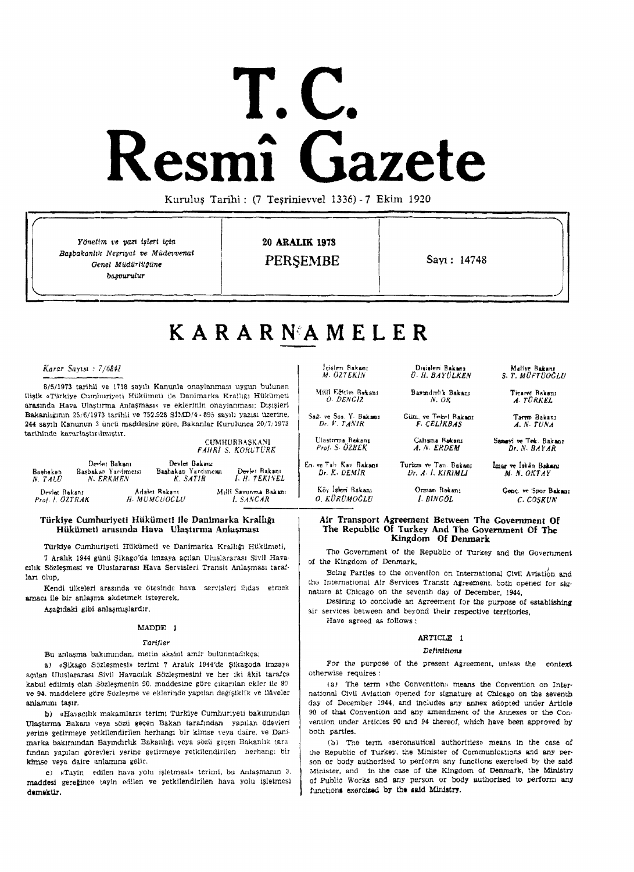# **T.e. Resmi Gazete**

Kuruluş Tarihi: (7 Teşrinievvel 1336) - 7 Ekim 1920

Yönetim ve yazı işleri için  $20$  **ARALIK 1978** Başbakanlık Neşriyat ve Müdevvenat<br>Genel Müdürlüğüne ~UnUUT

PERSEMBE Sayl: 14748

# K A R A R N"A MEL E R

*Karar SaylSL* : *7/68!f.l* 

8/5/1973 tarihli ve 1718 sayılı Kanunla onaylanması uygun bulunan ilişik «Türkiye Cumhuriyeti Hükümeti ile Danimarka Krallığı Hükümeti arasında Hava Ulastırma Anlaşması» ve eklerinin onaylanması; Disisleri Bakanlığının 25/6/1973 tarihli ve 752.528 SİMD/4·895 sayılı yazısı üzerine. 244 sayılı Kanunun 3 üncü maddesine göre, Bakanlar Kurulunca 20/7/1973 tarihinde kararlaştırılmıştır,

CUMHURBAŞKANI **FAIIRI S. KORLTURK** 

| Bashakan<br>N TALU               | Devlet Bakant<br>Basbakan Yardimeisi<br>N. ERKMEN | Devlet Bakana<br>Bashakan Yarduncusi<br>K. SATIR | Devlet Rakant<br>I. H. TEKINEL   | En. ve Tab Kav Bakanı<br>Dr. K. DEMIR | Turizm <del>n</del><br>Dr. A. |
|----------------------------------|---------------------------------------------------|--------------------------------------------------|----------------------------------|---------------------------------------|-------------------------------|
| Devlet Bakant<br>Prot. I. ÖZTRAK |                                                   | Adalet Bakant<br>H. MUMCUOCLU                    | Milli Savunma Bakanı<br>L SANCAR | Köy Iskeri Bakanı<br>O. KÜRÜMOĞLU     | Oran<br>l. B                  |

#### Türkiye Cumhuriyeti Hükümeti ile Danimarka Krallığı Hükümeti arasında Hava Ulaştırma Anlaşması

Türkiye Cumhuriycti Hükümcti ve Danimarka Krallığı Hükümeti, 7 Arahk 1944 günü Şikago'da imzaya açılan Uluslararası Sivil Havacilik Sözlesmesi ve Uluslararası Hava Servisleri Transit Anlaşması tara!-Ian o1up,

Kendi tilkeleri aresında ve ötesinde hava servisleri ihdas etmek amacı ile bir anlaşma akdetmek isteyerek,

Aşağıdaki gibi anlaşmışlardır.

#### MADDE 1

#### Tarifler

Bu anlaşma bakımından, metin aksinl amir bulunmadıkça;

a) «Sikago Sözlesmesi» terimi 7 Aralık 1944'de Sikagoda imzaya açılan Uluslararası Sivil Havacılık Sözleşmesini ve her iki âkit tarafça kabul edilmiş olan .Sözleşmenin 90, maddesine göre çıkarılan ekler ile 90 ve 94. maddelere göre Sözleşme ve eklerinde yapılan değişiklik ve ilâveler anlamını tasır.

b) «Havacılık makamları» terimi Türkiye Cumhur;yeti bakımından Ulaştırma Bakanı veya sözü geçen Bakan tarafından yapılan ödevleri yerine getirmeye yetkilendirilen herhangi bir kimse veya daire, ve Danimarka bakımından Bayındırlık Bakanlığı veya sözü geçen Bakanlık tara fından yapılan görevleri yerine getirmeye yetkilendirilen herhang: bir kimse veya daire anlamına gelir.

c) «Tayin edilen hava yolu işletmesi» terimi, bu Anlaşmanın 3 maddesi gereğince tayin edilen ve yetkilendirilen hava yolu işletmesi chemektir

lcisleri Bakanı **Disisleri Bakanı - Maliye Bakanı**<br>M. OZTEKIN - *D. H. BAY QLKEN - S. T. MÜFTUOCLU* Milli Eğitim Bakanı **Barmd**ınlık Bakanı **Dicarot Bakanı** O. DENGIZ **N.** OK A, rÜRKEL Sail: " So So, Y. Bakanı Sim, ve Tevkel Bakanı Tarrın Bakanı  $Dc$ ,  $V$ ,  $TANIR$   $F$ ,  $CELIRBAS$   $A$ ,  $N$ ,  $TUNA$ Ulastirma Bakanı<br>*Prof. S. ÖZBEK* 

UI.,ITTT!18 fl....") C.h\$Tl1 Rd<aru S~ "" Tft;. Bakan.

e Tan Bakamı — İmar ve İskân Bakanı<br>*1. KIRIMLI — M. N. OKTAY* M. N. OKTAY

*Güm, ve Tekel Bakanı*<br>*F. CELIKBAŞ* 

Kih 1~1m R..hrn Onn.., RMllIIl Cm~. "" :)lJ<)r B..I<.." O. li.{)RDMOCW /. *lJINC(JL* C. COSKUN

Air Transport Agreement Between The Government Of The Republic Of Turkey And The Government Of The Kingdom Of Denmark

The Government of the Republic of Turkey and the Government *ot* the Klr.gdom of Denmark,

Being Parties to the onvention on International Civil Aviation and tho International Air Services Transit Agreement. both opened tor signature at Chicago on the seventh day of December, 1944,

Desiring to conclude an Agreement for the purpose of establishing air services between and beyond their respective territories, Have agreed as follows:

# ARTICLE 1

#### **Definitions**

For the purpose of the present Agreement, unless the context otherwise requires:

(a) The term «the Convention» means the Convention on International Civil Aviation opened for signature at Chicago on the seventb day of December 1944, and includes any annex adopted under Article 90 of that Convention and any amendment of the Annexes or the Convention under Articles 90 and 94 thereof, which have been approved by both parties.

(b) The term «aeronsutical author!ties» means In the case of *the Republic of Turkey, the Minister of Communications and any per*son or body authorised to perform any functions exercised by the said Minister, and in the case of the Kingdom of Denmark, the Ministry of Public Works and any person or body authorised to perform any functions exercised by the said Ministry.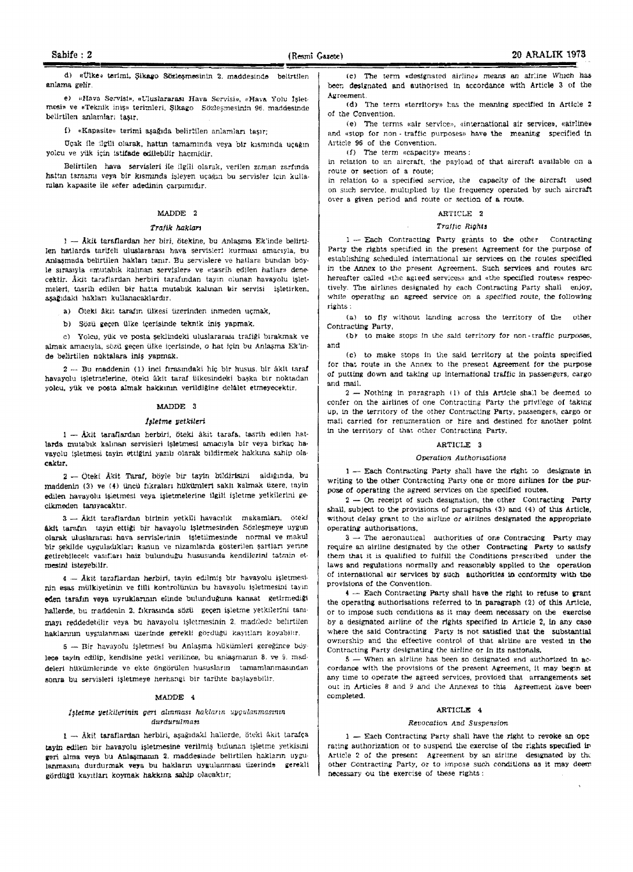d) «Ülke» terimi, Şikago Sözleşmesinin 2. maddesinde belirtilen anlama gelir.

e) «Hava Servisi», «Uluslararası Hava Servisi», «Hava Yolu İsletmesi» ve «Teknik iniş» terimleri, Şikago Sözleşmesinin 96. maddesinde belirtilen anlarnları taşır.

() «Kapasite» terimi aşağıda belirtilen anlamları taşır;

Ucak ile ilgill olarak, hattm tamamında veya bir kısmında uçağın yolcu ve yük için istifade edilebilir hacmidir.

Belirtilen hava servisleri ile ilgili olarak, verilen zaman zarfında hattın tamamı veya bir kısmında işleyen uçağın bu servisler için kullanılan kapasite ile sefer adedinin çarpımıdır.

#### MADDE 2

#### Trafik hakları

 $1 -$  Åkit taraflardan her biri, ötekine, bu Anlaşma Ek'inde belirtilen hatlarda tarifeli uluslararası hava servisler! kurması amacıyla, bu Anlasmada belirtilen hakları tanır. Bu servislere ve hatlara bundan böyle sırasıyla «mutabık kalınan serv!sler» ve «tasrih edilen hatlar» denecektir. Akit taraflardan herbiri tarafından tayin olunan havayolu işletmeleri, tasrih edilen bir hatta mutabik kalinan bir servisi isletirken, asağıdaki hakları kullanacaklardır.

a) Öteki âkit tarafın ülkesi üzerinden inmeden uçmak,

b) Sözü gecen ülke icerisinde teknik iniş yapmak.

c) Yolcu, yük ve posta şeklindeki uluslararası trafiği bırakmak ve almak amacıyla, sözü geçen ülke içerisinde, o hat için bu Anlaşma Ek'inde belirtilen noktalara inis vapmak.

2 ... Bu maddenin (1) inci fırasındaki hiç bir husus, bir âkit taraf havayolu işletmelerine, öteki âkit taraf ülkesindeki başka bir noktadan yolcu, yük ve posta almak hakkının verildiğine delâlet etmeyecektir.

#### MADDE 3

#### Isletme yetkileri

 $1 - \hat{A}$ kit taraflardan herbiri, öteki åkit tarafa, tasrih edilen hatlarda mutabik kalinan servisleri işletmesi amacıyla bir veya birkaç havayolu işletmesi tayin ettiğini yazılı olarak bildirmek hakkına sahip olacaktlr.

2 - Öteki Äkit Taraf, böyle bir tayin bildirisini aldığında, bu maddenin (3) ve (4) üncü fıkraları hükümleri saklı kalmak üzere, tayin edilen havayolu işletmesi veya işletmelerine ilgili işletme yetkilerini gecikmeden tanıyacaktır.

3 - Äkit taraflardan birinin yetkili havacılık makamları, ötekl Akit tarafın tayin ettiği bir havayolu işletmesinden Sözleşmeye uygun olarak uluslararası hava servislerinin - işletilmesinde normal ve makul bir şekilde uyguladıkları kanun ve nizamlarda gösterilen şartları yerine getirebilecek vasıfları haiz bulunduğu hususunda kendilerini tatmin otmeslni isteyeb;Jlr.

4 - Ākit taraflardan herbiri, tayin edilmiş bir havayolu işletmesinin esas mülkiyetinin ve fiili kontrolünün bu havayolu işletmesini tayin eden tarafın veya uyruklarının elinde bulunduğuna kanaat getirmediği hallerde, bu maddenin 2. fikrasında sözü geçen işletme yetkilerini tanımayı reddedetilir veya bu havayolu işletmesinin 2. maddede belirtilen haklarının uygulanması üzerinde gerekli gördüğü kayıtları koyabilir.

5 - Bir havayolu işletmesi bu Anlaşma hükümleri gereğince boylece tayin edilip, kendisine yetki verilince, bu anlaşmanın 8. ve 9. maddeleri hükümlerinde ve ekte öngörülen hususların tamamlanmasından sonra bu servisleri işletmeye herhangi bir tarihte başlayabilir.

#### MADDE 4

#### Isletme yetkilerinin geri alınması hakların uygulanmasının durdurulman

 $1 -$  Åkit taraflardan herbiri, aşağıdaki hallerde, öteki âkit tarafça tayin edilen bir havayolu işletmesine verilmiş bulunan işletme yetkisini geri alma veya bu Anlaşmanın 2, maddesinde belirtilen hakların uygulanmasını durdurmak veya bu hakların uygulanması üzerinde gerekli gördüğü kayıtları koymak hakkına sahip olacaktır;

(e) The term .deslgnared airline» means an alr:ine WhlCh haa boen designated and authorised in accordance with Article 3 of the Agreement.

(d) The term «territory» has the meaning specified in Article 2 of the Convention.

(e) The terms «air service», «international air service», «airline» and «stop for non-traffic purposes» have the meaning specified in Article 96 of the Convention.

 $(f)$  The term «capacity» means;

in relation to an aircraft, the payload of that aircraft available on a route or section of a route;

in relation to a specified service, the capacity of the aircraft used on such service, multiplied by the frequency operated by such aircraft over a given period and route or section of a route.

#### ARTICLE 2

#### Traffic Rights

1 -- Each Contracting Party grants to the other Contracting Party the rights specified in the present Agreement for the purpose of establishing scheduled international air services on the routes specified in the Annex to the presem Agreement. Such services and routes arc hereafter called «the agreed services» and «the specified routes» respectively. The airlines designated hy each Contracting Party shall enjoy, while operating an agreed service on a specified route, the following rights :

(o.) to fly without landing across the territory of the other Contracting Party,

 $(b)$  to make stops in the said territory for non-traffic purposes, and

(e) to make stops in the said \e;'rltory at the points specified for that route in the Annex to the preseat Agreement for the purpose of putting down and taking up international traffic in passengers, cargo and mall.

 $2 -$  Nothing in paragraph (1) of this Article shall be deemed to confer on the airlines of one Contracting Party the privilege of taking up, In the territory of the other Contracting Party. passengers, cargo or mall carried for renumeration or hire and destined for another point in the territory of that other Contracting Party,

#### ARTICLE 3

#### Operation Authorisations

 $1 -$  Each Contracting Party shall have the right to designate in writing to the other Contracting Party one or more airlines for the purpose of operating the agreed services on the specified routes.

 $2 -$  On receipt of such designation, the other Contracting Party shall, subject to the provisions of paragraphs  $(3)$  and  $(4)$  of this Article, without delay grant to the airline or airlines designated the appropriate operating authorisations.

3 - The aeronautical authorities of one Contracting Party may require an airline designated by the other Contracting Party to satisfy them that it is qualified to fulfill the Conditions prescribed under the laws and regulations normally and reasonably applied to the operation of international air services by such authOrities in contormity with the provisions of the Convention.

4 - Each Contracting Party shall have the right to refuse to grant the operating authorisations referred to In paragraph (2) of this Article. or to impose such conditions as it may deem necessary on the exercise by a designated airline of the rights specified in Article 2. in any case where the said Contracting Party is not satisfied that the substantial ownership and the effective control of that airline are vested in the Contracting Party designating the airline or In its nationals.

 $5$  - When an airline has been so designated and authorized in accordance with the provisions of the present Agreement, it may begin at any time to operate the agreed services, provided that arrangements set out in Articles 8 and 9 and the Annexes to this Agreement have been completed.

#### ARTICLE 4

#### Revocation And Suspension

1 - Each Contracting Party shall have the right to revoke an ope rating authorization or to suspend the exercise of the rights specified in Article 2 of the present Agreement by an airline designated by the other Contracting Party, or to impose such conditions as it may deem necessary ou the exerc:se of these rights: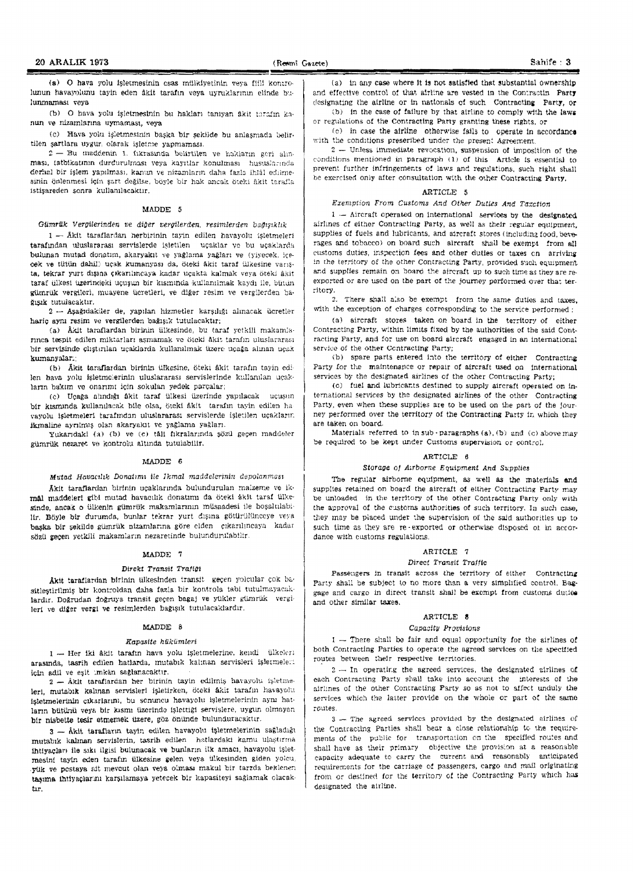(a)  $O$  hava yolu isletmesinin csas mülkiyetinin veya fiili kontrolunun havayolunu tayin eden âkit tarafın veya uyruklarının elinde bulunmaması veva

(b) O hava yolu işletmesinin bu hakları tanıyan ükit tarafın kanun ve nizamlarına uymaması, veya.

(c) Hava yolu işletmesinin başka bir şekilde bu anlaşmada belirtilen sartlara uygur. olarak isletme yapmaması.

 $2 - Bu$  maddenin 1. fikrasında belirtilen ve hakların geri ahnması, tatbikatının durdurulması veya kayıtlar konulması hususlarında derhal bir işlem yapılması, kanun ve nizamların daha fazla ihlâl edilmesinin önlenmesi için şart değilse, böyle bir hak ancak öteki âkit tarafla istisareden sonra kullanılacaktır.

#### MADDE 5

#### Gümrük Vergilerinden ve diğer vergilerden, resimlerden bağışıklık

 $1 -$  Akit taraflardan herbirinin tayin edilen havayolu işletmeleri tarafından uluslararası servislerde isletilen uçaklar ve bu uçaklarda bulunan mutad donatım, akaryakıt ve yağlama yağları ve (yiyecek, içecek ve tütün dahil) uçak kumanyası da, öteki âkit taraf ülkesine vanşta, tekrar yurt dışına çıkarılıncaya kadar uçakta kalmak veya öteki âkit taraf ülkesi üzerindeki uçuşun bir kısmında kullanılmak kaydı ile, bütün gUmrtik vergilcri, muayene Ucretleri, ve diger reslm ve vergiJerden ba· ğışık tutulacaktır.

 $2 -$  Asağıdakiler de, yapılan hizmetler karşılığı alınacak ücretler haric aynı resim ve vergilerden bağışık tutulacaktır;

(a) Âkit taraflardan birinin iilkesinde, bu taraf yetkili makamlarmea tespit edilen miktarları aşmamak ve öteki âkit tarafın uluslararası bir servisinde çlıştırılan uçaklarda kullanılmak üzere uçağa alınan uçak kumanvalar:

 $(b)$  Akit taraflardan birinin ülkesine. öteki akit tarafın tayin edilen hava yolu işletmelerinin uluslararası servislerinde kullanılan uçakların bakım ve onarımı için sokulan yedek parçalar;

(c) Uçağa alındığı âkit taraf ülkesi üzerinde yapılacak uçuşun bir kısmında kullanılacak bile olsa, öteki âkit tarafın tayin edilen havayolu işletmeleri tarafından uluslararası servislerde işletilen uçakların ikmaline ayrılmış olan akaryaklt ve yağlama yağları.

Yukandakl (a) (b) ve (c) tâll fikralanında şözü geçen maddeler gUmrtlk nezaret vo kontrolu nltmda tutulablllr.

#### $MADDE$  6

#### Mutad Havacılık Donatımı ile İkmal maddelerinin depolanması

Akit taraflardan birinin uçaklarında bulundurulan malzeme ve ikmål maddeleri gibi mutad havacılık donatımı da öteki akit taraf ülkesinde, ancak o ülkenin gümrük makamlarının müsaadesi ile boşaltılabilir. Böyle bir durumda, bunlar tekrar yurt dışına götürülünceye veya baska bir şekilde gümrük nizamlarına göre elden çıkarılmcaya kadar sözü gecen yetkili makamların nezaretinde bulunduru:abilir.

#### MADDE 7

#### Direkt Transit Trafilit

Akit taraflardan birinin ülkesinden transit- geçen yolcular çok basitleştirilmiş bir kontroldan daha fazla bir kontrola tabi tutulmayacaklardır. Doğrudan doğruya transit geçen bagaj ve yükler gümrük vergileri ve diğer vergi ve resimlerden bağışık tutulacaklardır.

#### MADDE: 8

#### Kapasite htikiimleri

1 - Her iki åkit tarafm hava yolu isletmelerine, kendi ülkeleri arasında, tasrih edilen hatlarda, mutabık kalınan servisleri işletmeleri icin adil ve eşit :.mkân sağlanacaktır.

 $2 -$  Aklt taraflardan her birinin tayin edilmiş havayolu işletme. leri, mutabik kalinan servislerl işletirken, öteki âkit tarafın havayolu işletmelerinin çıkarlarını, bu sonuncu havayolu işletmelerinin aynı hatların bütünü veya bir kısmı üzerinde işlettiği servislere, uygun, olmayan bir nisbette tesir etmemek tizere, göz önünde bulunduracaktır.

3 - Äkit tarafların tayin edilen havayolu işletmelerinin sağladığı mutabik kalinan servislerin, tasrih edilen hatlardaki kamu ulaştırma ihtiyaçları ile sıkı ilgisi bulunacak ve bunların ilk amacı, havayolu işletmesini tayin eden tarafın ülkesine gelen veya ülkesinden giden yolcu, yük ve postaya ait mevcut olan veya olması makul bir tarzda beklenen taşıma ihtiyaçlarını karşılamaya yetecek bir kapasiteyi sağlamak olacaktır.

 $(a)$  in any case where It is not satisfied that substantial ownership and effective control of that airline are vested in the Contractin. Party designating the airline or in nationals of such Contracting Party, or  $(b)$  in the case of failure by that airline to comply with the laws

or regulations of the Contracting Party granting these rights, or

 $(c)$  in case the airline otherwise fails to operate in accordance with the conditions preseribed under the present Agreement.

2 - Unless immediate revocation, suspension of imposition of the conditions mentioned in paragraph  $(1)$  of this Article is essential to prevent further infringements of laws and regulations, such right shall be exercised only after consultation with the other Contracting Party.

#### ARTICLE 5

#### Exemption From Customs And Other Duties And Taxction

 $1 -$  Aircraft operated on international services by the designated airlines of either Contracting Party, as well as their regular equipment, supplies of fuels and lubricants, and aircraft stores (including food, beverages and tobacco) on board such aircraft shall be exempt from all eustoms duties, inspection fees and other duties or taxes on arriving in the territory of the other Contracting Party, provided such equipment and supplies remain on board the aircraft up to such time as they are reexported or are used on the part of the journey performed over that territory.

2. There shall also be exempt from the same duties and taxes, with the exception of charges corresponding to the service performed  $\frac{1}{2}$ 

(a) aircraft stores taken on board in the territory of either Contracting Party, within limits fixed by the authorities of the said Cont racting Party, and for use on board aircraft engaged in an international service of the other Contracting Party;

(b) spare parts entered into the territory of either Contracting Party for the maintenapce or repair of aircraft used on international services by the designated airlines of the other Contracting Party;

(c) fuel and lubricants destined to supply aircraft operated on international Services by the deSignated airlines of the other Contracting Party, even when these supplies are to be used on the part of the journey performed over the territory of the Contracting Party in which they are taken on board.

Materials referred to in sub-paragraphs (a), (b) and (c) above may be required to be kept under Customs supervision or control.

#### ARTICLE 6

#### Storage of Arrborne Equipment And Supplies

The regular airborne equipment, as well as the materials and supplies retained on board the aircraft of either Contracting Party may be unloaded in the territory of the other Contracting Party only with the approval of the customs authorities of such territory. In such case, they may be placed under the supervision of the said authorities up to such time as they are re-exported or otherwise disposed of in accordance with customs regulations.

#### ARTICLE 7

#### Direct Transit Traffic

Passengers in transit across the territory of either Contracting Party shall be subject to no more than a very simplified control. Baggage and cargo in direct transit shall be exempt from customs duties. and other similar taxes.

#### ARTICLE 8

#### Capacity ProvisIons

 $1$  - There shall be fair and equal opportunity for the airlines of both Contracting Parties to operate the agreed services on the specified routes between their respective territories.

 $2 -$  In operating the agreed services, the designated airlines of each Contracting Party shall take into account the interests of the air!mes of the other Contracting Party *so* as not to alfe<t unduly the services which the latter provide on the whole or part of the same routes.

3 - The agreed services provided by the designated airlines of the Contracting Parties shall bear a close relationship to the requirements of the public for transportation on the specified routes and shall have as their primary objective the provision at a reasonable capacity adequate to carry the current and reasonably anticipated requirements for the carriage of passengers, cargo and mail originating from or destined for the territory of the Contracting Party which has designated the airline.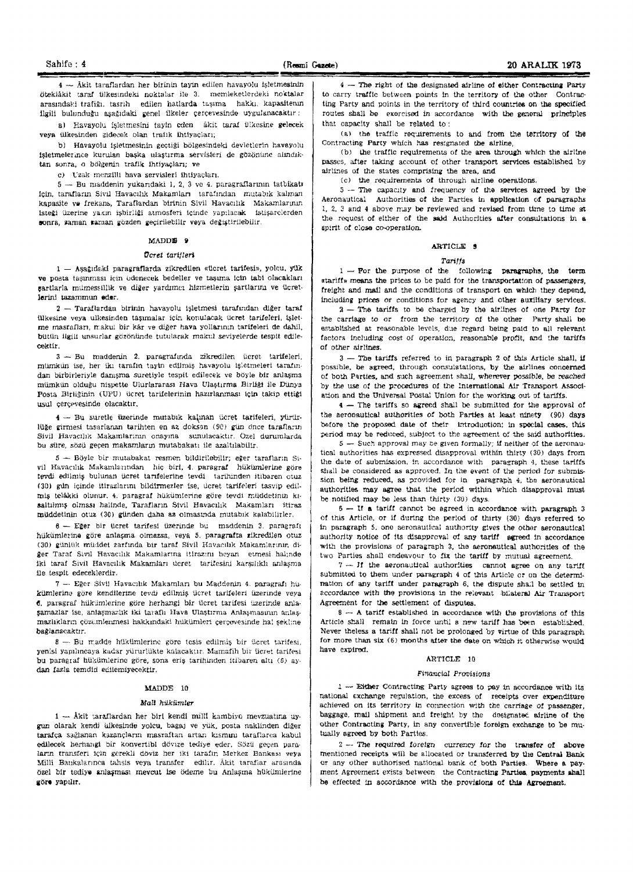4 - Äkit taraflardan her birinin tayin edilen havayolu işletmesinin ötekiåkit taraf ülkesindeki noktalar ile 3. memleketlerdeki noktalar arasındaki trafiğı, tasrih edilen hatlarda taşıma. hakkı, kapasitenin ilgili bulunduğu aşağıdaki genel ilkeler çerçevesinde uygulanacaktır:

a) Havayolu isletmesini tayin eden âkit taraf Ulkesine gelecek veya ülkesinden gidecek olan trafik ihtiyaçları;

b) Havayolu işletmesinin geçtiği bölgesindeki devletlerin havayolu isletmelerince kurulan başka ulaştırma servisleri de gözönüne alındıktan sonra, o bölgenin trafik ihtiyaçları; ve

c) Uzak menzilli hava servisleri ihtiyaçları.

 $5 -$ Bu maddenin yukarıdaki 1, 2, 3 ve 4. paragraflarının tatbikatı lein, tarafların Sivil Havacılık Makamları tarafından mutabık kalınan kapasite ve frekans, Taraflardan birinin Sivil Havacılık Makamlarının lsteği üzerine yakın işbirliği atmosferi içinde yapılacak istişarelerden sonra, zaman zaman gözden geçirilebilir veya değiştirilebilir.

#### MADDE 9

#### *OCTet tarttlen*

 $1 -$  Asağıdaki paragraflarda zikredilen «tlcret tarifesi», yolcu, yük ve posta tasınması için ödenecek bedeller ve tasıma için tabi olacakları sartlarla mumessillik ve diğer yardımcı hizmetlerin şartlarını ve ücretlerini tazammun eder.

 $2 -$  Taraflardan birinin havayolu işletmesi tarafından diğer taraf illkesine veya ulkesinden taşımalar için konulacak ücret tarifeleri, işletme masraflari, makul bir kâr ve diğer hava yollarının tarifeleri de dahil. bütün ilgili unsurlar gözönünde tutularak makul seviyelerde tespit. edilecelttir.

 $3$  - Bu maddenin 2. paragrafında zikredilen ücret tarifeleri, mümkün ise, her iki tarafın tayin edilmiş havayolu işletmeleri tarafından birbirleriyle danışma suretiyle tespit edilecek ve böyle bir anlaşma mümkün olduğu nispette Ulurlararası Hava Ulaştırma Eirliği ile Dünya Posta Birliğinin (UPU) ücret tarifelerinin hazırlanması için takip ettiği usul çerçevesinde olacaktır.

4 - Bu suretle üzerinde mutabik kalınan ücret tarifeleri, yürürlüğe girmesi tasarlanan tarihten en az doksan (90) gün önce tarafların Sivil Havacilik Makamlarinin onayina sunulacaktir. Özel durumlarda bu süre, sözü geçen makamların mutabakatı ile azaltılabilir.

 $5 -$  Böyle bir mutabakat resmen bildirilebilir; eğer tarafların Sivil Havaculık Makamlarından hiç birl, 4. paragraf hükümlerine göre tevdi edilmiş bulunan ücret tarifelerine tevdi tarihinden itibaren otuz (30) gun icinde itirazlarını bildirmezler ise, ucret tarifeleri tasvip edil $m/s$  telâkki olunur. 4. paragraf hükümlerine göre tevdi müddetinin kısaltılmış olması halinde, Tarafların Sivil Havacılık Makamları itiraz müddetinin otuz (30) günden daha az olmasında mutablk kalabilirler.

 $6$  - Eger bir ücret tarifesi üzerinde bu maddenin 3. paragraft hükümlerine göre anlaşma olmazsa, veya 5. paragrafta zikredilen otuz (30) günlük müddet zarfında bir taraf Sivil Havacılık Makamlarının diğer Taraf Sivil Havacılık Makamlarına itlrazını beyan etmesi halınde iki taraf Sivil Havacılık Makamları ücret tarifesini karşılıklı anlaşma 11e tespit edeceklerdll'.

7 - Eğer Sivil Havacılık Makamları bu Maddenin 4. paragrafı hükümlerine göre kendilerine tevdi edilmiş ücret tarifeleri üzerinde veya  $6.$  paragraf hükümlerine göre herhangi bir ücret tarifesi üzerinde anlaşamazlar ise, anlaşmazlık iki taraflı Hava Ulaştırma Anlaşmasının anlaşmazlıkların çözümlerimesi hakkındaki hükümleri çerçevesinde ha! şekline bağlanacaktır.

 $8 - Bu$  madde hükümlerine göre tesis edilmiş bir ücret tarifesi, yenisi yapılmcaya kadar yürürlükte kalacaktır. Mamafih bir ücret tarifesi bu paragraf hükümlerine göre, sona eriş tarihinden Itibaren altı (6) aydan fazla temdid ediiemiyecektir.

#### MADDE 10

#### Mall hilkümler

1 - Åkit taraflardan her biri kendi milli kambiyo mevzuatina uygun olarak kendi ülkesinde yolcu, bagaj ve yük, posta naklinden diğer tarafça sağlanan kazançların masraftan artan kısmını taraflarca kabul edilecek herhangi bir konvertibl dövize tediye eder. Sözü geçen paraların transferi için gerekli döviz her iki tarafın Merkez Bankası veya Milli Bankalarınca tahsis veya transfer edilir. Akit taraflar arasında özel bir tediye anlaşması mevcut ise ödeme bu Anlaşma hükümlerine **lI:(la** yaPUlf.

 $4 -$  The right of the designated airline of either Contracting Party to carry traffic between points in the territory of the other Contracting Party and points in the territory of third countries on the specified routes shall be exercised in accordance with the general principles that capacity shall be related to:

(a) the traffic requirements to and from the territory of the Contracting Party which has resignated the airline,

(b) the traffic requirements of the area through which the airline passes, after taking account of other transport services established by airlines of the states comprising the area, and

(e) the requirementa of through airline operations,

 $5$  -- The capacity and frequency of the services agreed by the Aeronautical Authorities of the Parties in application of paragraphs 1, 2, 3 and 4 above may be reviewed and revised from time to time  $st$ the request of either of the said Authorities after consultations in a spirit of close co-operation.

#### ARTICLE &

#### Tariffs

 $1 -$  For the purpose of the following paragraphs, the  $term$ «tariff» means the prices to be paid for the transportation of passengers, freight and mail and the conditions of transport on which they depend. including prices or conditions for agency and other auxlliarv services.

 $2$  - The tariffs to be charged by the airlines of one Party for the carriage to or from the territory of the other Party shall be established at reasonable levels, due regard being paid to all relevant factors including cost of operation, reasonable profit, and the tariffs of other airlines,

 $3$  - The tariffs referred to in paragraph 2 of this Article shall, if possible, be agreed, through consulatations, by the airlines concerned of both Parties, and such agreement shall, wherever possible, be reached by the use of the procedures of the International Air Transport Association and the Universal Postal Union for the working out of tariffs.

4 - The tariffs so agreed shall be submitted for the approval of the aeronautical authorities of both Parties at least ninety (90) days before the proposed date of their introduction; in special cases, this period may be reduced, subject to the agreement of the said authorities.

 $5 -$  Such approval may be given formally; if neither of the aeronautical authorities has expressed disapproval within thirty (30) days from the date of submission, in accordance with paragraph 4, these tarlffs shall be considered as approved. In the event of the period for submission being reduced, as provided for in paragraph 4, the aeronautical authorities may agree that the period within which disapproval must be notifIed may be less than thirty (30) days.

 $5 -$  If a tariff cannot be agreed in accordance with paragraph 3 of this Article, or if during the period of thirty (30) days referred to in paragraph 5, one aeronautical authority gives the other aeronautical authority notice of its disapproval of any tariff agreed in accordance with the provisions of paragraph 3, the aeronautical authorities of the two Parties shall endeavour to fix the tariff by mutual agreement.

 $7 - H$  the aeronautical authorities cannot agree on any tariff submitted to them under paragraph 4 of this Article or on the determimation of any tariff under paragraph 6, the dispute shall be settled in accordance with the provisions in the relevant 'bLateral Air Transport Agreement for the settlement of disputes.

 $8 - A$  tariff established in accordance with the provisions of this Article shall remain in force until a new tariff has been established. Never theless a tariff shall not be prolonged by virtue of this paragraph for more than six (6) months after the date on which it otherwise would. have expired.

#### ARTICLE 10

#### Financial Provisions

 $1 -$  Either Contracting Party agrees to pay in accordance with its national exchange regulation, the excess of receipts over expenditure achieved on its territory in connection with the carriage of passenger, baggage, mail shipment and freight by the designated airline of the other Contracting Party, in any convertible foreign exchange to be mutually agreed by both Parties.

 $2 -$  The required foreign currency for the transfer of above mentioned receipts will be allocated or transferred by the Central Bank or any other authorised national bank *ot* both Parties. Where a pay. ment Agreement exists between the Contracting Parties, payments shall be effected in accordance with the provisions of this Agreement.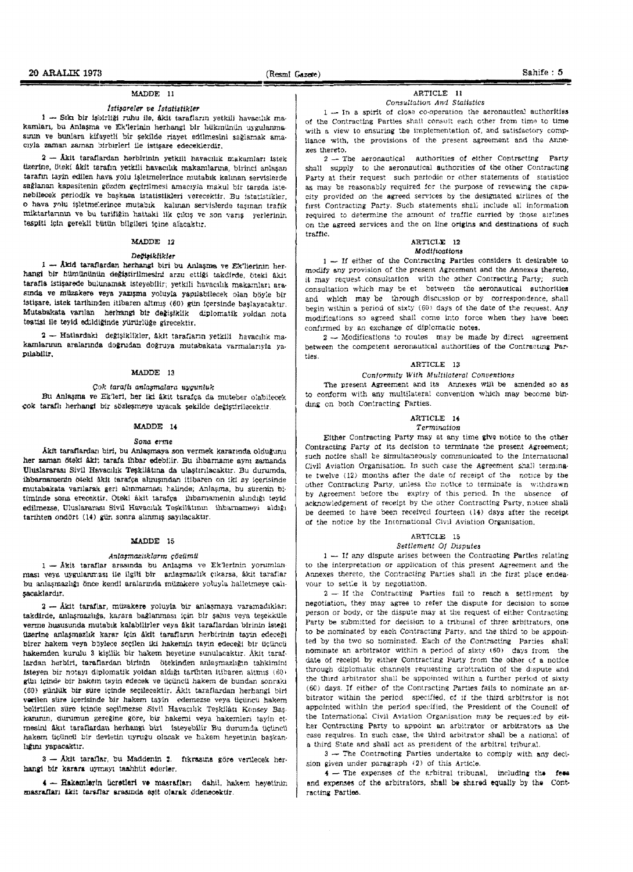#### MAnDE 11

#### t*stilareler ve* ! *statistikler*

 $1 -$  Siki bir ishirliği ruhu ile, âkit tarafların yetkili havacılık makamları, bu Anlaşma ve Ek'lerinin herhangi bir hükmünün uygulanmasının ve bunlara kifayetli bir şekilde riayet edilmesini sağlamak amacıyla zaman zaman birbirleri ile istişare edeceklerdir.

 $2 -$  Akit taraflardan herbirinin yetkili havacılık makamları istek tizerine, öteki åkit tarafın yetkili havacılık makamlarına, birinci anlaşan tarafın tayin edilen hava yolu işletmelerince mutabık kalınan servislerde sağlanan kapasitenin gözden geçirilmesi amacıyla makul bir tarzda istenebllecek periodik ve başkaca istatistikleri verecektir. Bu istatistikler, o hava yolu işletmelerince mutabik kalınan servislerde taşınan trafik rniktarlarının ve bu tarifiğin hattaki ilk çıkış ve son varış yerlerinin tespiti için gerekli bütün bilgileri içine alacaktır.

#### MADDE 12

#### Dečiaiklikler

 $1 -$  Akid taraflardan herhangi biri bu Anlasma ve Ek'lierinin herhangi bir hümününün değiştirilmesini arzu ettiği takdirde, öteki âkit. tarafla istişarede bulunamak isteyebilir; yetkili havacılık makamları arasmda ve müzakere veya yazışma yoluyla yapılabilecek olan böyle hir 1stişare, istek tarihinden itibaren altmış (60) gün içersinde başlayacaktır. Mutabakata varilan herhangi bir değişiklik diplomatik yoldan nota teatisi ile teyid edildiğinde yürürlüğe girecektir.

 $2$  - Hatlardaki değişiklikler, akit tarafların yetkili havacılık makamiarının aralarında doğrudan doğruya mutabakata varmalarıyla yaplabilir.

#### MADDE 13

#### $C$ <sup>ok</sup> taraflı anlaşmalara uygunluk

Bu Anlasma ve Ek'leri, her iki âkit tarafca da muteber olabilecek çok taraflı herhangi bir sözleşmeye uyacak şekilde değiştirilecektir.

#### MADDE 14

#### Sona erme

Akit taraflardarı biri, bu Anlaşmaya son vermek kararında olduğunu her zaman öteki åkit tarafa ihbar edebilir. Bu ihbarname aynı zamanda Uluslararası Sivil Havacılık Teskilâtına da ulastırılacaktır. Bu durumda, ihbarnamenin öteki äkit tarafça alınışından itibaren on iki ay içerisinde mutabakata varilarak geri alinmaması halinde; Anlaşma, bu sürenin bitiminde sona erecektir. Oteki akit tarafça ihbarnamenin alındığı teyid edilmezse, Uluslararası Sivil Havacılık Teskilâtının ihbarnameyi aldığı tarihten ondört (14) gün sonra alınmış sayılacaktır.

#### MADDE 15

#### Anlaşmazlıkların çözümü

 $1 -$  Åkit taraflar arasında bu Anlaşma ve Eklerlnin yorumlanması veya uygulanması ile ilgili bir anlaşmazlık çıkarsa, âkit taraflar bu anlaşmazlığı önce kendi aralarında müzakere yoluyla halletmeye cahsacaklardır.

 $2 -$  Akit taraflar, müzakere yoluyla bir anlasmaya varamadıklar: takdirde, anlaşmazlığa, karara bağlanması için bir şahış veya teşekküle verme hususunda mutabik kalabilirler veya âkit taraflardan birinin isteği üzerine anlaşmazlık karar için âkit tarafların herbirinin tayin edeceği birer hakem veya böylece seçilen iki hakemin tayin edeceği bir tiçtincü hakemden kurulu 3 kisilik bir hakem heyetine sunulacaktır. Akit taraflardan herbiri, taraflardan birinin ötekinden anlaşmazlığın tahkimini lsteyen bir notayı diplomatik yoldan aldığı tarihten itibaren altmış (60) gün içinde bir hakem tayin edecek ve üçüncü hakem de bundan sonraki (60) günlük bir süre icinde secilecektir. Aklt taraflardan herhangi biri verilen stire icerisinde bir hakem tayin edemezse veya ticüncü hakem belirtilen süre içinde seçilmezse Sivil Havacılık Teşkilâtı Konsey Başkanının, durumun gereğine göre, bir hakemi veya hakemleri tayin etmesini âkıt taraflardan herhangi biri listeyebilir. Bu durumda üçüncü hakem üçüncü bir devletin uyruğu olacak ve hakem heyetinin başkanlığını yapacaktır.

3 - Äkit taraflar, bu Maddenin 2. fikrasına göre verilecek herhangi bir karara uymayı taahhüt ederler.

4 - Hakemlerin ücretleri ve masrafları dahil, hakem heyetinin. masrafları âkit tarsflar arasında eşit olarak ödenecektir.

# ARTICLE 11

#### *Consultation And Statistics*

 $1 -$  In a spirit of close co-operation the aeronautical authorities of the Contracting Parties shall consult each other from time to time with a view to ensuring the implementation of, and satisfactory compliance with, the provisions of the present agreement and the Annexes thereto.

 $2 -$ The aeronautical authorities of either Contracting Party shall supply to the aeronautical authorities of the other Contracting Party at their request such periodic or other statements of statisticc as may be reasonably required for the purpose of reviewing the capacity provided on the agreed services by the designated airlines of the first Contracting Party. Such statements shall include all information required to determine the amount of traffic carried by those airlines on the agreed services and the on line origins and destinations of such traffIC.

#### ARTICLE 12 **Modifications**

 $1 -$  If either of the Contracting Parties considers it desirable to modify any provision of the present Agreement and the Annexes thereto. it may request consultation with the other Contracting Party; such consultation which may be et between the aeronautical authorities and which may be through discussion or by correspondence, shall begin within a period of sixty (60) days of the date of the request. Any modifications so agreed shall come into force when they have been confirmed by an exchange of diplomatic notes.

 $2 -$  Modifications to routes may be made by direct agreement between the competent aeronautical authorities of the Contracting Parties.

# ARTICLE 13

#### Conformity With Multilateral Conventions

The present Agreement and its Annexes will be emended so as to conform with any multilateral convention which may become binding on both Contracting Parties.

# ARTICLE 14

## Termination

Either Contracting Party may at any time give notice to the other Contracting Party *ot* its decision to terminate the present Agreement; such notice shall be simultaneously communicated to the International Civil Aviation Organisation. In such case the Agreement shall terminate twelve  $(12)$  months after the date of receipt of the notice by the other Contracting Party, unless the notice to terminate is withdrawn by Agreement before the expiry of this period. In the absence of acknowledgement of receipt by the other Contracting Party, notice shall be deemed to have been received fourteen (14) days after the receipt. of the notice by the International Civil Aviation Organisation.

#### ARTICLE 15

#### Settlement Of Disputes

 $1 -$  If any dispute arises between the Contracting Partles relating to the interpretation or application of this present Agreement and the Annexes thereto, the Contracting Parties shall in the first place endeavour to settle it by negotiation.

 $2 -$  If the Contracting Parties fail to reach a settlement by negotiation, they may agree to refer the dispute for decision to some person or body. or tbe dispute may at the request of either Contracting Party be submitted for decision to a tribunal of three arbitrators, one to be nominated by each Contracting Party, and the third to be appoin· ted by the two so nominated. Each of the Contracting Parties shall nominate an arbitrator within a period of sixty (60) days from the date of receipt by either Contracting Party from the other of a notice through diplomatic channels requesting arbitration of the d:spute and the third arbitrator shall be appointed within a further period of sixty  $(60)$  days. If either of the Contracting Parties fails to nominate an arbitrator within the period specified, of if the third arbitrator is not appointed within the period specified, the President of the Council of the International Civil Aviation Organisation may be reques:ed by eit· her Contracting Party to appoint an arbitrator or arbitrators as the ease requires. In such case, the third arbitrator shall be a national of a third State and shall act as president of the arbitral tribur.al.

 $3 -$  The Contracting Parties undertake to comply with any decision given under paragraph  $(2)$  of this Article.

 $* -$  The expenses of the arbitral tribunal, including the fees and expenses of the arbitrators, shall be shared equally by the Contracting Parties.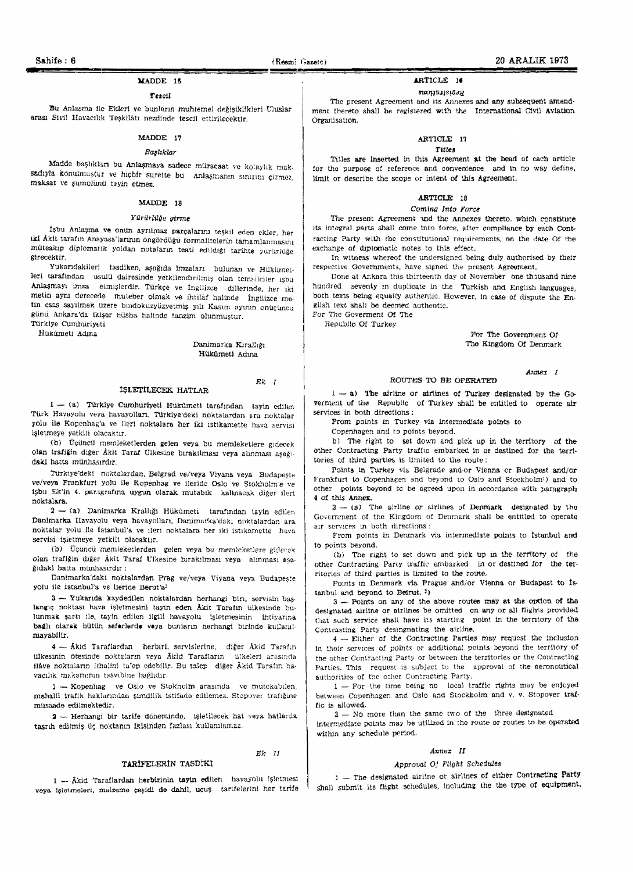#### )LADDE 1&

#### Texoil

Bu Anlasma ile Ekleri ve bunların muhtemel değisiklikleri Uluslar arası Sivil Havacılık Teşkilâtı nezdinde tescil ettirilecektlr.

#### MAnDE 17

## Başlıklar

Madde başlıkları bu Anlaşmaya sadece müracaat ve kolaylık maksadıyla konulmuştur ve hiçbir surette bu Anlaşmanın sınırını çizmez, maksat ve şumülünü tayin etmez.

#### MAODE 18

#### *YiirilrW"e (lirme*

isbu Anlaşma ve onun ayrılmaz parçalarını teşkil eden ekler, her iki Akit tarafın Anayasa'larının ongördüğü formalitelerin tamamlanmasını müteakip diplomatik yoldan notaların teati edildiği tarihte yürürlüğe gtrecektlr.

Yukarıdakileri tasdiken, aşağıda imzaları bulunan ve Hükümetleri tarafından usulu dairesinde yetkilendirilmiş olan temsilciler işbu Anlaşmayı imza elmişlerdir. Türkçe ve İngilizce dillerinde, her iki metin aynı derecede -muteber olmak ve ihtilâf halinde - İngilizce me tin esas sayılmak üzere bindokuzyüzyetmiş yılı Kasur. ayının onuçuncu günü Ankara'da ikişer nüsha halinde tanzim olunmuştur. Türkiye Cumhuriyeti

Hükûmeti Adına

#### Danimarka Kırallığı Hükûmeti Adma

#### **ISLETILECEK HATLAR**

# *Ek I*

Ek 11

 $1 -$  (a) Türkiye Cumburiyeti Hükûmeti tarafından tayin edilen Türk Havayolu veya havayolları, Türkiye'deki noktalardan ara noktalar yolu ile Kopenhag'a ve ileri noktalara her iki istikamette hava servisi işletmeye yetkili olacaktır,

(b) Uçüncü memleketlerden gelen veya bu memleketlere gidecek olan trafiğin diğer Âkit Taraf Ülkesine birakılması veya alınması aşağıdaki hatta munhasırdır.

Türkiye'deki noktalardan. Belgrad ve/veya Viyana veya Budapeşte ve/veya Frankfurt yolu ile Kopenhag ve ileride Oslo ve Stokholm'e ve isbu Ek'in 4. paragrafina uygun olarak mutabik kalinacak diger ileri noktalara,

2 - (a) Danimarka Krallığı Hükümeti tarafından tayin edilen Danimarka Havayolu veya havayolları, Danimarka'dak: noktalardan ara noktalar yolu ile istanbul'a ve ileri noktalara her iki istikamette hava servisi isletmeye yetkill olacaktır.

(b) Üçüncü memleketlerden gelen veya bu memleketlere giderek olan trafiğin diğer Akit Taraf Ülkesine birakılması veya alınması asağıdakl hatta münhasırdır:

Danimarka'daki noktalardan Prag ve/veya Viyana veya Budapeşte yolu ile İstanbul'a ve ileride Berut'a<sup>2</sup>

 $3$  - Yukarıda kaydedilen noktalardan herhangi bin, servisin başlangiç noktası hava işletmesini tayin eden Akit Tarafın ülkesinde bulunmak şartı ile, tayin edilen ilgill havayolu \*işletmesinin \*ihtiyarına bağlı olarak bütün saferlerde veya buniarın herhangi birinde kullanılmayabllir.

4 - Åkid Taraflardan herbiri, servislerine, diğer Akid Tarafın  $i$ lkesinin ötesinde noktaların veya Åkid Tarafların  $i$ ilkeleri arasında ilåve noktaların ithalini ta'ep edebilir. Bu talep diğer Âkid Tarafın havacılık makamının tasvibine bağlıdır.

1 - Kopenhag ve Oslo ve Stokholm arasında ve mütekabilen. mahalli trafik haklarından şimdilik istifade edilemez. Stopover trafığıne miisaade edilmektedir.

2 - Herhangi bir tarife dönemindo, işletilecek hat veya hatlarda tasrih edilmiş üç noktanın ikisinden fazlası kullanılamaz.

#### TARIFELERIN TASDIKI

 $1 -$ Âkid Taraflardan herbirinin tayin edilen havayolu işletmesi veya işletmeleri, malzeme çeşidi de dahil, uçuş tarifelerini her tarife

# ARTICLE 18

#### Registrations

The present Agreement and its Annexes and any subsequent amendment thereto shall be registered with the International Civil Aviation Organisation.

# ARTICLE 17

# *Titles*

Titles are inserted in this Agreement at the bead of each article for the purpose of reference and convenience and in no way define, limit or describe the scope or intent of this Agreement.

#### ARTICLE 18

#### Coming Into Force

The present Agreement and the Annexes thereto. which constitute its integral parts shall come Into force, after compliance by each Contracting Party with the constitutional requirements, on the date Of the exchange 01 diplomatic notes to this effect.

In witness whereof the unclersigned being duly authorised by tbeir respective Governments, have signed the present Agreement.

Dohe at Ankara this thirteenth day of November one thousand nine hundred seventy in duplicate in the Turkish and English languages, both texts being equally authentic. However, in case of dispute the English (ext shall be deemed authentic.

For *Tne* Goverment or The Republic Of Turkey

> For The Government Of The Kingdom or Denmark

> > Annex I

#### ROUTES TO BE OPERATED

 $1 - a$ ) The airline or airlines of Turkey designated by the Goverment of the Republic of Turkey shall be entitled to operate air services in both directions:

From points in Turkey via intermediate points to

Copenhagen and to points beyond.

b) The right to set down and pick up in the territory of the other Contracting Party traffic embarked in or destined for the territories of third parties is limited to the route:

Points in Turkey via Belgrade and-or Vienna or Budapest and/or Frankfurt to Copenhagen and beyond to Osb and Stockholm') and to other points beyond to be agreed upon in accordance with paragraph 4 of this Annex.

 $2 - (8)$  The airline or airlines of Denmark designated by the Government of the Kingdom of Denmark shall be entitled to operate air services in both directions:

From points in Denmark via intermediate points to Istanbul and to points beyond.

 $(b)$  The right to set down and pick up in the territory of the other Contracting Party traffic embarked in or destined for the territories of third parties is limited to the route.

Points in Denmark via Prague and/or Vienna or Budapest to Is $tanhul$  and beyond to Beirut.  $2)$ 

3 - Points on any of the above routes may at the option of the designated airline or airlines be omitted on any or all flights provided that such service shall have its starting point in the terntory of the Contrasting Party desingnating the airline.

 $4 -$  Either of the Contracting Parties may request the inclusion in their services of points or additional points beyond the territory of the other Contracting Party or between the territories or the Contracting Parties, This request is subject to the approval of the aeronoutical authorities of the other Contracting Party.

 $1 -$  For the time being no local traffic rights may be enjoyed between Copenhagen and Oslo and Stockholm and v. v. Stopover traf· tic is allowed.

1 - No more than the same two of the three designated intermediate points may be utilized in the route or routes to be operated within any schedule period.

#### *Annex II*

#### Approval Of Flight Schedules

1 -- The designated airline or airlines of either Contracting Party shall submit its flight schedules, including the the type of equipment.